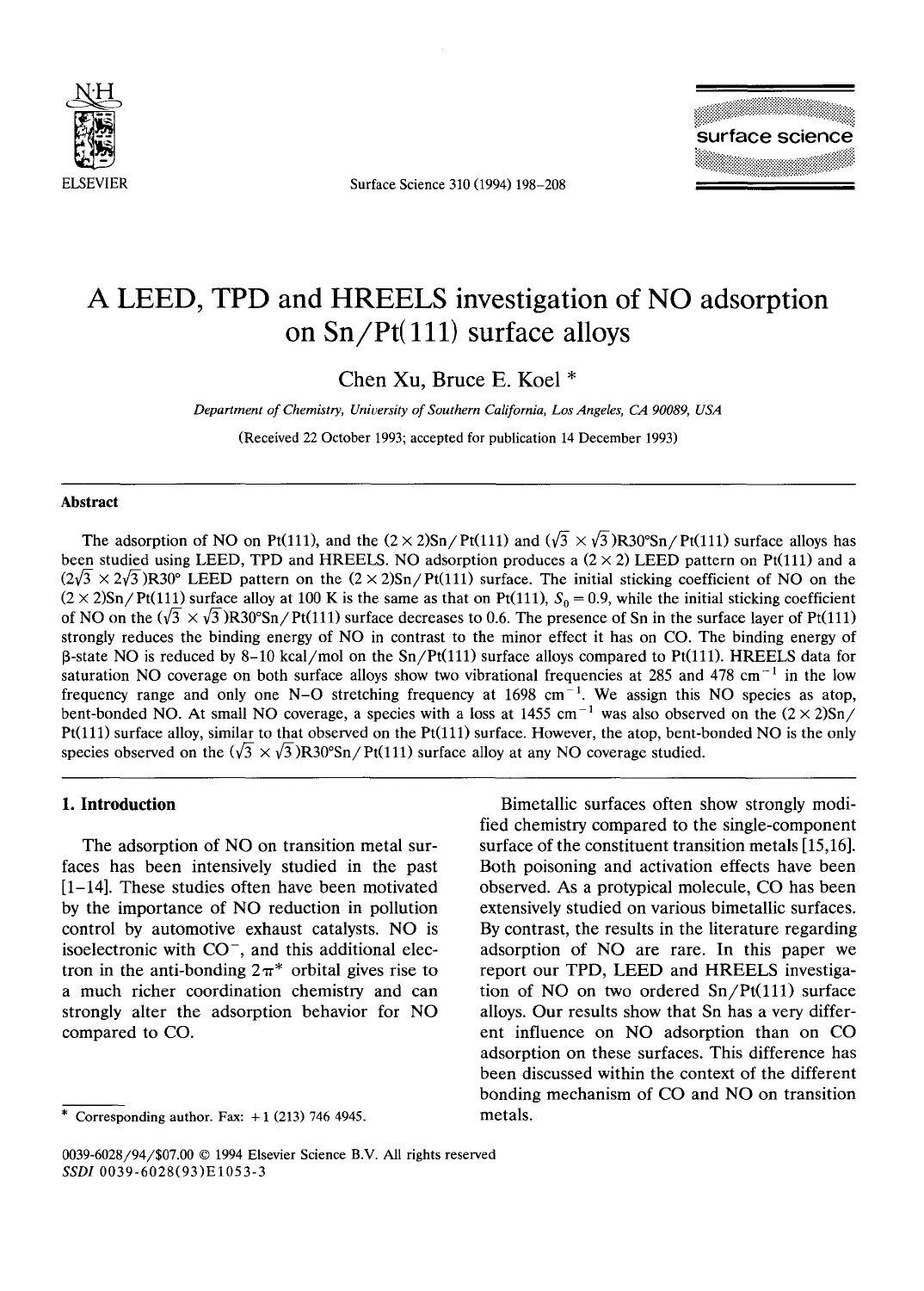

ELSEVIER Surface Science 310 (1994) 198-208



# **A LEED, TPD and HREELS investigation of NO adsorption on Sn/Pt(lll) surface alloys**

Chen Xu, Bruce E. Koel \*

*Department of Chemistry, University of Southern California, Los Angeles, CA 90089, USA* 

(Received 22 October 1993; accepted for publication 14 December 1993)

#### **Abstract**

The adsorption of NO on Pt(111), and the  $(2 \times 2)$ Sn/Pt(111) and  $(\sqrt{3} \times \sqrt{3})$ R30°Sn/Pt(111) surface alloys has been studied using LEED, TPD and HREELS. NO adsorption produces a  $(2 \times 2)$  LEED pattern on Pt(111) and a  $(2\sqrt{3} \times 2\sqrt{3})R30^\circ$  LEED pattern on the  $(2 \times 2)Sn/Pt(111)$  surface. The initial sticking coefficient of NO on the  $(2 \times 2)$ Sn/Pt(111) surface alloy at 100 K is the same as that on Pt(111),  $S_0 = 0.9$ , while the initial sticking coefficient of NO on the  $(\sqrt{3} \times \sqrt{3})R30^{\circ}Sn/Pt(111)$  surface decreases to 0.6. The presence of Sn in the surface layer of Pt(111) strongly reduces the binding energy of NO in contrast to the minor effect it has on CO. The binding energy of  $\beta$ -state NO is reduced by 8-10 kcal/mol on the Sn/Pt(111) surface alloys compared to Pt(111). HREELS data for saturation NO coverage on both surface alloys show two vibrational frequencies at 285 and 478 cm<sup>-1</sup> in the low frequency range and only one N-O stretching frequency at  $1698 \text{ cm}^{-1}$ . We assign this NO species as atop, bent-bonded NO. At small NO coverage, a species with a loss at 1455 cm<sup>-1</sup> was also observed on the  $(2 \times 2)$ Sn/ Pt(lll) surface alloy, similar to that observed on the Pt(lll) surface. However, the atop, bent-bonded NO is the only species observed on the  $(\sqrt{3} \times \sqrt{3})R30^{\circ}Sn/Pt(111)$  surface alloy at any NO coverage studied.

#### **1. Introduction**

The adsorption of NO on transition metal surfaces has been intensively studied in the past [1-14]. These studies often have been motivated by the importance of NO reduction in pollution control by automotive exhaust catalysts. NO is isoelectronic with  $CO^-$ , and this additional electron in the anti-bonding  $2\pi^*$  orbital gives rise to a much richer coordination chemistry and can strongly alter the adsorption behavior for NO compared to CO.

Bimetallic surfaces often show strongly modified chemistry compared to the single-component surface of the constituent transition metals [15,16]. Both poisoning and activation effects have been observed. As a protypical molecule, CO has been extensively studied on various bimetallic surfaces. By contrast, the results in the literature regarding adsorption of NO are rare. In this paper we report our TPD, LEED and HREELS investigation of NO on two ordered  $Sn/Pt(111)$  surface alloys. Our results show that Sn has a very different influence on NO adsorption than on CO adsorption on these surfaces. This difference has been discussed within the context of the different bonding mechanism of CO and NO on transition metals.

<sup>\*</sup> Corresponding author. Fax:  $+1$  (213) 746 4945.

<sup>0039-6028/94/\$07.00 © 1994</sup> Elsevier Science B.V. All rights reserved *SSDI* 0039-6028(93)EI053-3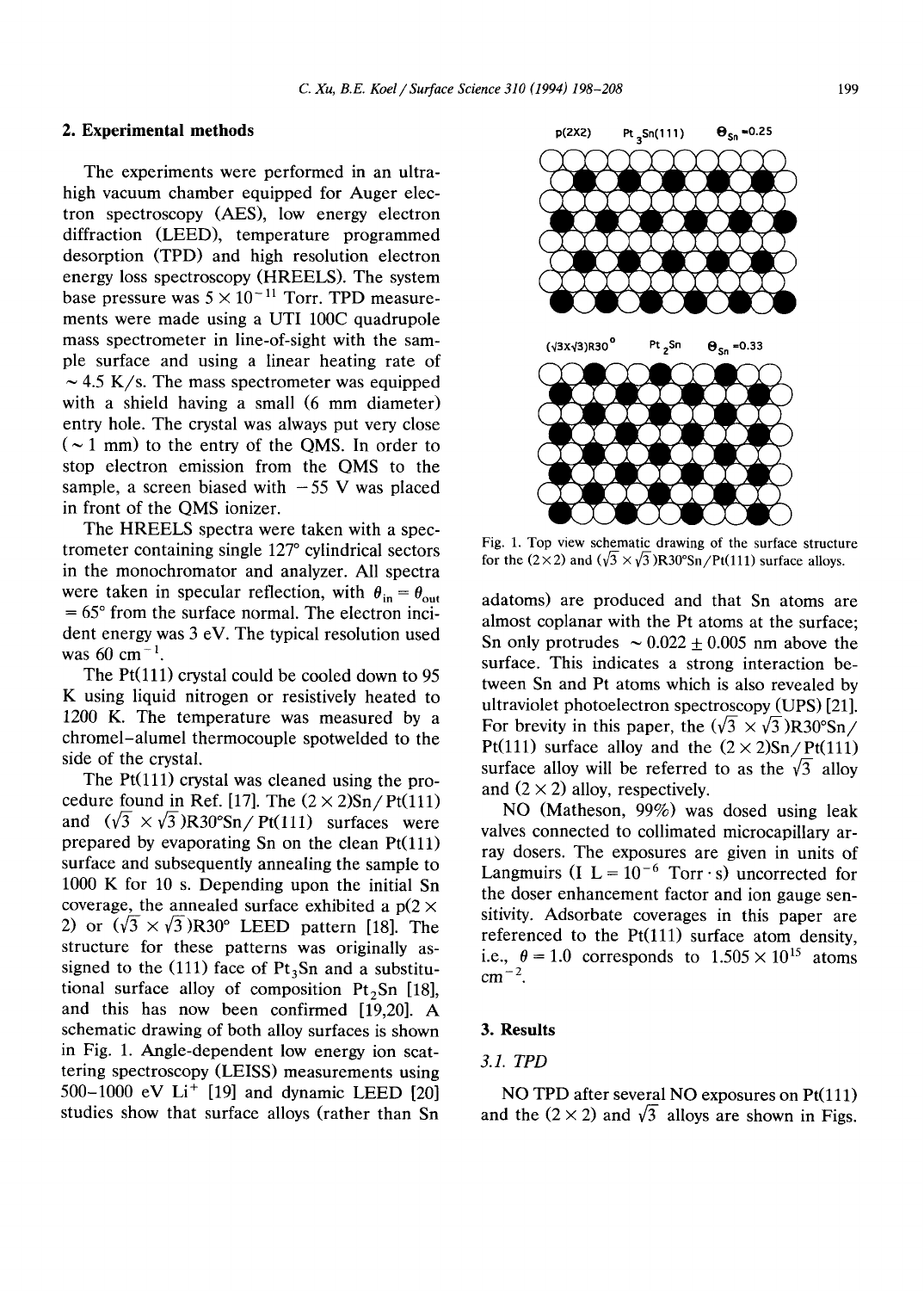The experiments were performed in an ultrahigh vacuum chamber equipped for Auger electron spectroscopy (AES), low energy electron diffraction (LEED), temperature programmed desorption (TPD) and high resolution electron energy loss spectroscopy (HREELS). The system base pressure was  $5 \times 10^{-11}$  Torr. TPD measurements were made using a UTI 100C quadrupole mass spectrometer in line-of-sight with the sample surface and using a linear heating rate of  $\sim$  4.5 K/s. The mass spectrometer was equipped with a shield having a small (6 mm diameter) entry hole. The crystal was always put very close  $({\sim}1$  mm) to the entry of the QMS. In order to stop electron emission from the QMS to the sample, a screen biased with  $-55$  V was placed in front of the QMS ionizer.

The HREELS spectra were taken with a spectrometer containing single 127° cylindrical sectors in the monochromator and analyzer. All spectra were taken in specular reflection, with  $\theta_{in} = \theta_{out}$  $= 65$ ° from the surface normal. The electron incident energy was 3 eV. The typical resolution used was  $60 \text{ cm}^{-1}$ .

The Pt(111) crystal could be cooled down to 95 K using liquid nitrogen or resistively heated to 1200 K. The temperature was measured by a chromel-alumel thermocouple spotwelded to the side of the crystal.

The  $Pt(111)$  crystal was cleaned using the procedure found in Ref. [17]. The  $(2 \times 2)$ Sn/Pt(111) and  $(\sqrt{3} \times \sqrt{3})R30^{\circ}Sn/Pt(111)$  surfaces were prepared by evaporating Sn on the clean  $Pt(111)$ surface and subsequently annealing the sample to 1000 K for 10 s. Depending upon the initial Sn coverage, the annealed surface exhibited a  $p(2 \times$ 2) or  $(\sqrt{3} \times \sqrt{3})R30^{\circ}$  LEED pattern [18]. The structure for these patterns was originally assigned to the (111) face of  $Pt_3Sn$  and a substitutional surface alloy of composition  $Pt<sub>2</sub>Sn$  [18], and this has now been confirmed [19,20]. A schematic drawing of both alloy surfaces is shown in Fig. 1. Angle-dependent low energy ion scattering spectroscopy (LEISS) measurements using 500-1000 eV Li<sup>+</sup> [19] and dynamic LEED [20] studies show that surface alloys (rather than Sn



Fig. 1. Top view schematic drawing of the surface structure for the (2×2) and ( $\sqrt{3}$  × $\sqrt{3}$ )R30°Sn/Pt(111) surface alloys.

adatoms) are produced and that Sn atoms are almost coplanar with the Pt atoms at the surface; Sn only protrudes  $\sim 0.022 \pm 0.005$  nm above the surface. This indicates a strong interaction between Sn and Pt atoms which is also revealed by ultraviolet photoelectron spectroscopy (UPS) [21]. For brevity in this paper, the  $(\sqrt{3} \times \sqrt{3})R30^{\circ}Sn/$ Pt(111) surface alloy and the  $(2 \times 2)$ Sn/Pt(111) surface alloy will be referred to as the  $\sqrt{3}$  alloy and  $(2 \times 2)$  alloy, respectively.

NO (Matheson, 99%) was dosed using leak valves connected to collimated microcapillary array dosers. The exposures are given in units of Langmuirs (I  $L = 10^{-6}$  Torr · s) uncorrected for the doser enhancement factor and ion gauge sensitivity. Adsorbate coverages in this paper are referenced to the  $Pt(111)$  surface atom density, i.e.,  $\theta = 1.0$  corresponds to  $1.505 \times 10^{15}$  atoms  $cm^{-2}$ .

#### **3. Results**

## *3.1. TPD*

NO TPD after several NO exposures on Pt(111) and the  $(2 \times 2)$  and  $\sqrt{3}$  alloys are shown in Figs.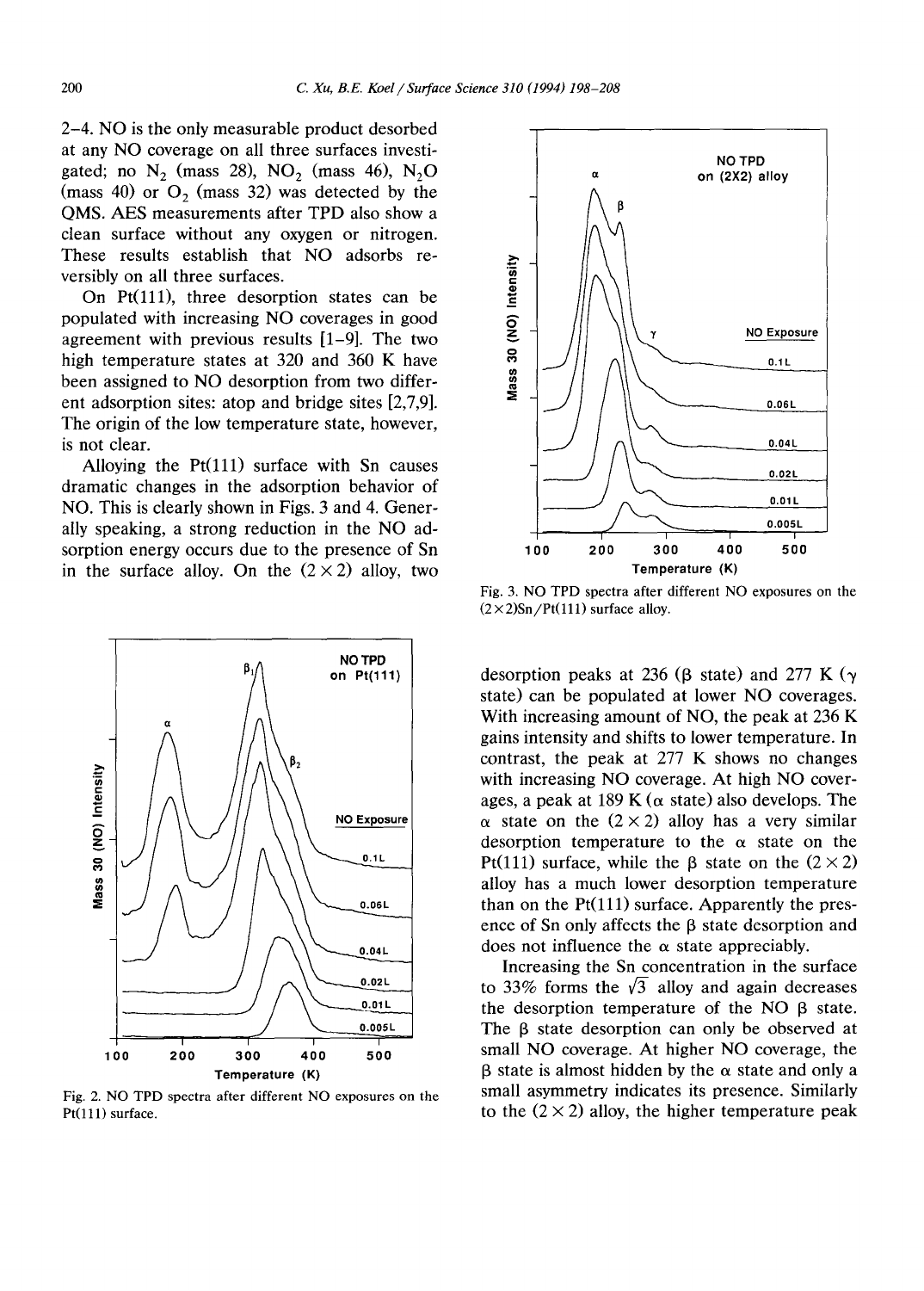2-4. NO is the only measurable product desorbed at any NO coverage on all three surfaces investigated; no  $N_2$  (mass 28),  $NO_2$  (mass 46),  $N_2O$ (mass  $40$ ) or  $O<sub>2</sub>$  (mass 32) was detected by the QMS. AES measurements after TPD also show a clean surface without any oxygen or nitrogen. These results establish that NO adsorbs reversibly on all three surfaces.

On Pt(111), three desorption states can be populated with increasing NO coverages in good agreement with previous results [1-9]. The two high temperature states at 320 and 360 K have been assigned to NO desorption from two different adsorption sites: atop and bridge sites [2,7,9]. The origin of the low temperature state, however, is not clear.

Alloying the  $Pt(111)$  surface with Sn causes dramatic changes in the adsorption behavior of NO. This is clearly shown in Figs. 3 and 4. Generally speaking, a strong reduction in the NO adsorption energy occurs due to the presence of Sn in the surface alloy. On the  $(2 \times 2)$  alloy, two



Fig. 2. NO TPD spectra after different NO exposures on the Pt(111) surface.



Fig. 3. NO TPD spectra after different NO exposures on the  $(2 \times 2)$ Sn/Pt(111) surface alloy.

desorption peaks at 236 ( $\beta$  state) and 277 K ( $\gamma$ state) can be populated at lower NO coverages. With increasing amount of NO, the peak at 236 K gains intensity and shifts to lower temperature. In contrast, the peak at 277 K shows no changes with increasing NO coverage. At high NO coverages, a peak at 189 K ( $\alpha$  state) also develops. The  $\alpha$  state on the (2 × 2) alloy has a very similar desorption temperature to the  $\alpha$  state on the Pt(111) surface, while the  $\beta$  state on the  $(2 \times 2)$ alloy has a much lower desorption temperature than on the  $Pt(111)$  surface. Apparently the presence of Sn only affects the  $\beta$  state desorption and does not influence the  $\alpha$  state appreciably.

Increasing the Sn concentration in the surface to 33% forms the  $\sqrt{3}$  alloy and again decreases the desorption temperature of the NO  $\beta$  state. The  $\beta$  state desorption can only be observed at small NO coverage. At higher NO coverage, the  $\beta$  state is almost hidden by the  $\alpha$  state and only a small asymmetry indicates its presence. Similarly to the  $(2 \times 2)$  alloy, the higher temperature peak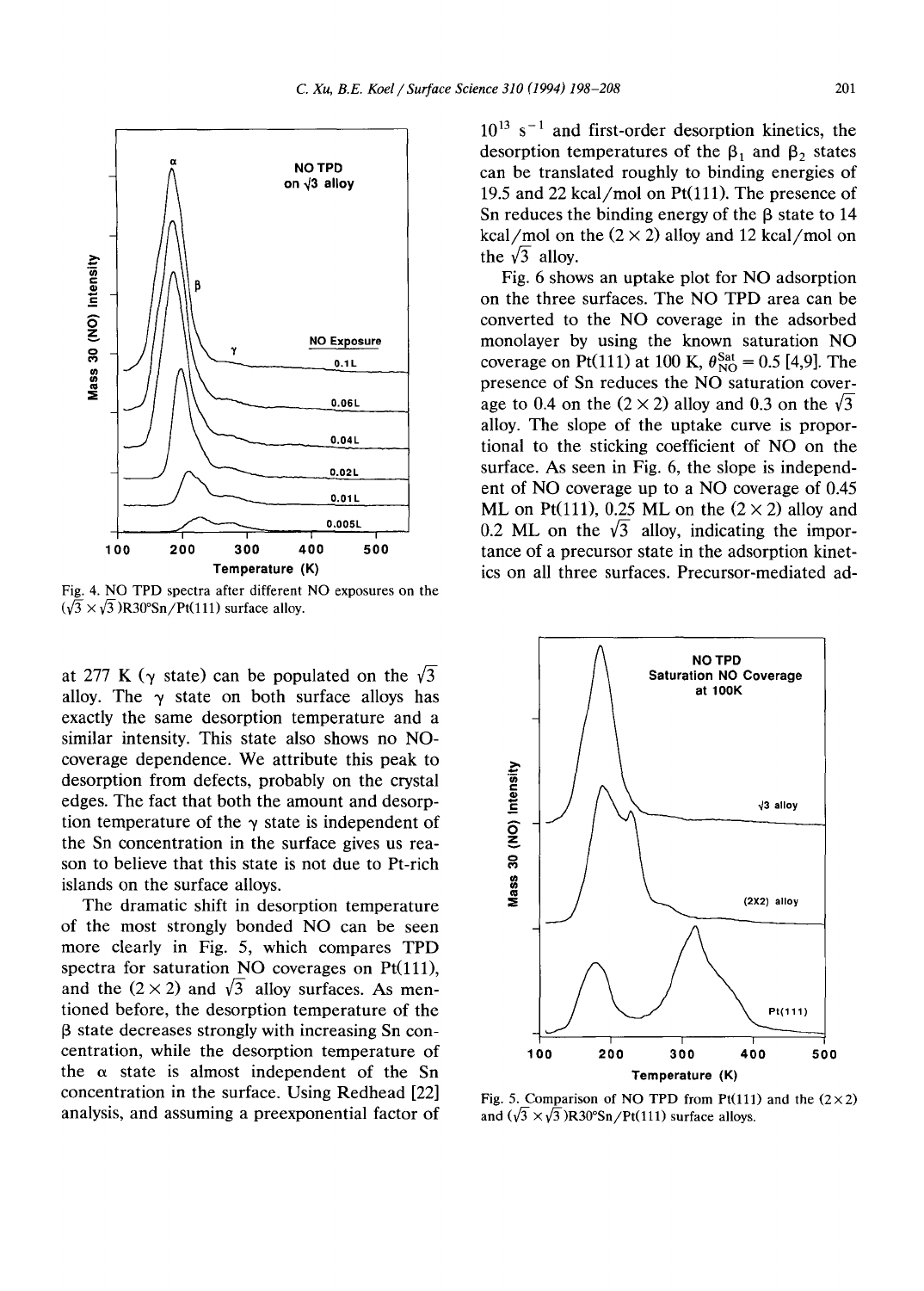

Fig. 4. NO TPD spectra after different NO exposures on the  $(\sqrt{3} \times \sqrt{3})$ R30°Sn/Pt(111) surface alloy.

at 277 K ( $\gamma$  state) can be populated on the  $\sqrt{3}$ alloy. The  $\gamma$  state on both surface alloys has exactly the same desorption temperature and a similar intensity. This state also shows no NOcoverage dependence. We attribute this peak to desorption from defects, probably on the crystal edges. The fact that both the amount and desorption temperature of the  $\gamma$  state is independent of the Sn concentration in the surface gives us reason to believe that this state is not due to Pt-rich islands on the surface alloys.

The dramatic shift in desorption temperature of the most strongly bonded NO can be seen more clearly in Fig. 5, which compares TPD spectra for saturation NO coverages on Pt(111), and the  $(2 \times 2)$  and  $\sqrt{3}$  alloy surfaces. As mentioned before, the desorption temperature of the  $\beta$  state decreases strongly with increasing Sn concentration, while the desorption temperature of the  $\alpha$  state is almost independent of the Sn concentration in the surface. Using Redhead [22] analysis, and assuming a preexponential factor of

 $10^{13}$  s<sup>-1</sup> and first-order desorption kinetics, the desorption temperatures of the  $\beta_1$  and  $\beta_2$  states can be translated roughly to binding energies of 19.5 and 22 kcal/mol on  $Pt(111)$ . The presence of Sn reduces the binding energy of the  $\beta$  state to 14 kcal/mol on the  $(2 \times 2)$  alloy and 12 kcal/mol on the  $\sqrt{3}$  alloy.

Fig. 6 shows an uptake plot for NO adsorption on the three surfaces. The NO TPD area can be converted to the NO coverage in the adsorbed monolayer by using the known saturation NO coverage on Pt(111) at 100 K,  $\theta_{\rm NO}^{\rm Sat} = 0.5$  [4,9]. The presence of Sn reduces the NO saturation coverage to 0.4 on the  $(2 \times 2)$  alloy and 0.3 on the  $\sqrt{3}$ alloy. The slope of the uptake curve is proportional to the sticking coefficient of NO on the surface. As seen in Fig. 6, the slope is independent of NO coverage up to a NO coverage of 0.45 ML on Pt(111), 0.25 ML on the  $(2 \times 2)$  alloy and 0.2 ML on the  $\sqrt{3}$  alloy, indicating the importance of a precursor state in the adsorption kinetics on all three surfaces. Precursor-mediated ad-



Fig. 5. Comparison of NO TPD from Pt(111) and the  $(2\times2)$ and  $(\sqrt{3} \times \sqrt{3})R30^{\circ}Sn/Pt(111)$  surface alloys.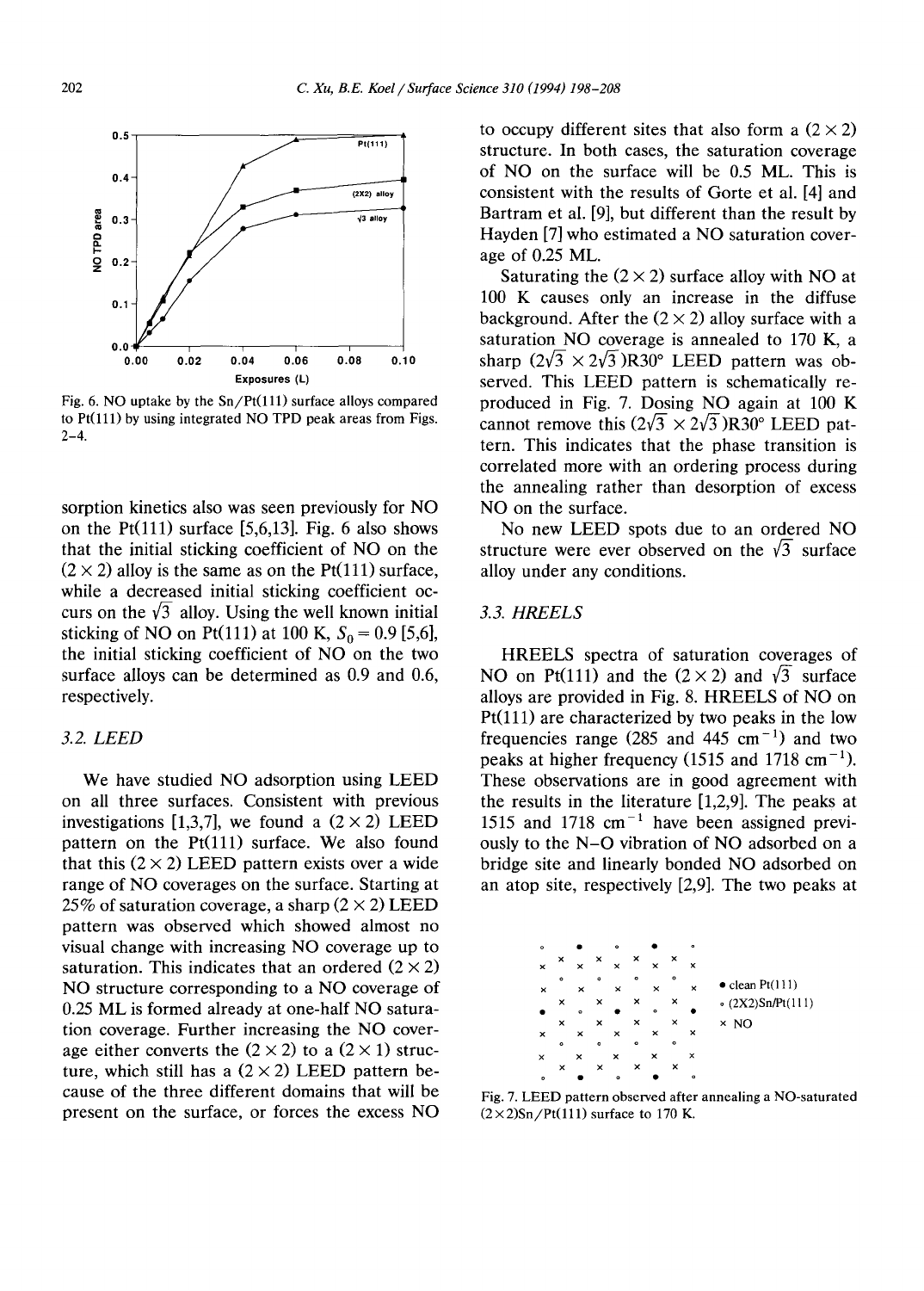

Fig. 6. NO uptake by the  $Sn/Pt(111)$  surface alloys compared to Pt(111) by using integrated NO TPD peak areas from Figs.  $2 - 4.$ 

sorption kinetics also was seen previously for NO on the Pt $(111)$  surface [5,6,13]. Fig. 6 also shows that the initial sticking coefficient of NO on the  $(2 \times 2)$  alloy is the same as on the Pt(111) surface, while a decreased initial sticking coefficient occurs on the  $\sqrt{3}$  alloy. Using the well known initial sticking of NO on Pt(111) at 100 K,  $S_0 = 0.9$  [5,6], the initial sticking coefficient of NO on the two surface alloys can be determined as 0.9 and 0.6, respectively.

### *3.2. LEED*

We have studied NO adsorption using LEED on all three surfaces. Consistent with previous investigations [1,3,7], we found a  $(2 \times 2)$  LEED pattern on the  $Pt(111)$  surface. We also found that this  $(2 \times 2)$  LEED pattern exists over a wide range of NO coverages on the surface. Starting at 25% of saturation coverage, a sharp  $(2 \times 2)$  LEED pattern was observed which showed almost no visual change with increasing NO coverage up to saturation. This indicates that an ordered  $(2 \times 2)$ NO structure corresponding to a NO coverage of 0.25 ML is formed already at one-half NO saturation coverage. Further increasing the NO coverage either converts the  $(2 \times 2)$  to a  $(2 \times 1)$  structure, which still has a  $(2 \times 2)$  LEED pattern because of the three different domains that will be present on the surface, or forces the excess NO to occupy different sites that also form a  $(2 \times 2)$ structure. In both cases, the saturation coverage of NO on the surface will be 0.5 ML. This is consistent with the results of Gorte et al. [4] and Bartram et al. [9], but different than the result by Hayden [7] who estimated a NO saturation coverage of 0.25 ML.

Saturating the  $(2 \times 2)$  surface alloy with NO at 100 K causes only an increase in the diffuse background. After the  $(2 \times 2)$  alloy surface with a saturation NO coverage is annealed to 170 K, a sharp  $(2\sqrt{3} \times 2\sqrt{3})R30^\circ$  LEED pattern was observed. This LEED pattern is schematically reproduced in Fig. 7. Dosing NO again at 100 K cannot remove this  $(2\sqrt{3} \times 2\sqrt{3})R30^\circ$  LEED pattern. This indicates that the phase transition is correlated more with an ordering process during the annealing rather than desorption of excess NO on the surface.

No new LEED spots due to an ordered NO structure were ever observed on the  $\sqrt{3}$  surface alloy under any conditions.

#### *3.3. HREELS*

HREELS spectra of saturation coverages of NO on Pt(111) and the  $(2 \times 2)$  and  $\sqrt{3}$  surface alloys are provided in Fig. 8. HREELS of NO on  $Pt(111)$  are characterized by two peaks in the low frequencies range (285 and 445 cm<sup> $-1$ </sup>) and two peaks at higher frequency (1515 and 1718 cm<sup>-1</sup>). These observations are in good agreement with the results in the literature [1,2,9]. The peaks at 1515 and 1718  $cm^{-1}$  have been assigned previously to the N-O vibration of NO adsorbed on a bridge site and linearly bonded NO adsorbed on an atop site, respectively [2,9]. The two peaks at



Fig. 7. LEED pattern observed after annealing a NO-saturated  $(2 \times 2)$ Sn/Pt(111) surface to 170 K.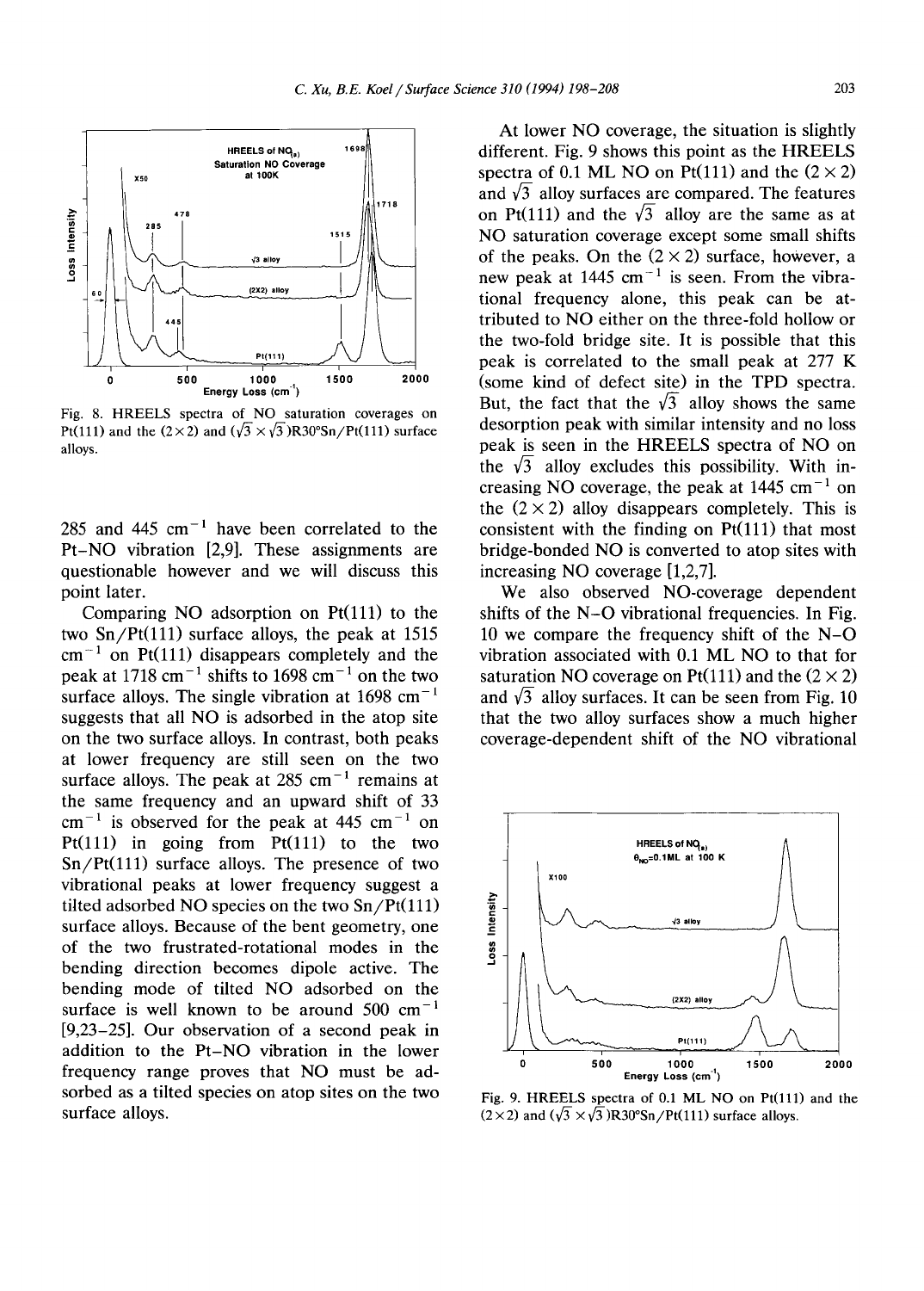

Fig. 8. HREELS spectra of NO saturation coverages on Pt(111) and the (2×2) and ( $\sqrt{3}$  × $\sqrt{3}$ )R30°Sn/Pt(111) surface alloys.

285 and 445 cm<sup> $-1$ </sup> have been correlated to the Pt-NO vibration [2,9]. These assignments are questionable however and we will discuss this point later.

Comparing NO adsorption on  $Pt(111)$  to the two  $Sn/Pt(111)$  surface alloys, the peak at 1515  $cm<sup>-1</sup>$  on Pt(111) disappears completely and the peak at 1718 cm<sup> $-1$ </sup> shifts to 1698 cm<sup> $-1$ </sup> on the two surface alloys. The single vibration at  $1698 \text{ cm}^{-1}$ suggests that all NO is adsorbed in the atop site on the two surface alloys. In contrast, both peaks at lower frequency are still seen on the two surface alloys. The peak at  $285 \text{ cm}^{-1}$  remains at the same frequency and an upward shift of 33  $cm^{-1}$  is observed for the peak at 445 cm<sup>-1</sup> on Pt(111) in going from Pt(111) to the two  $Sn/Pt(111)$  surface alloys. The presence of two vibrational peaks at lower frequency suggest a tilted adsorbed NO species on the two  $Sn/Pt(111)$ surface alloys. Because of the bent geometry, one of the two frustrated-rotational modes in the bending direction becomes dipole active. The bending mode of tilted NO adsorbed on the surface is well known to be around  $500 \text{ cm}^{-1}$ [9,23-25]. Our observation of a second peak in addition to the Pt-NO vibration in the lower frequency range proves that NO must be adsorbed as a tilted species on atop sites on the two surface alloys.

At lower NO coverage, the situation is slightly different. Fig. 9 shows this point as the HREELS spectra of 0.1 ML NO on Pt(111) and the  $(2 \times 2)$ and  $\sqrt{3}$  alloy surfaces are compared. The features on Pt(111) and the  $\sqrt{3}$  alloy are the same as at NO saturation coverage except some small shifts of the peaks. On the  $(2 \times 2)$  surface, however, a new peak at 1445 cm<sup> $-1$ </sup> is seen. From the vibrational frequency alone, this peak can be attributed to NO either on the three-fold hollow or the two-fold bridge site. It is possible that this peak is correlated to the small peak at 277 K (some kind of defect site) in the TPD spectra. But, the fact that the  $\sqrt{3}$  alloy shows the same desorption peak with similar intensity and no loss peak is seen in the HREELS spectra of NO on the  $\sqrt{3}$  alloy excludes this possibility. With increasing NO coverage, the peak at  $1445 \text{ cm}^{-1}$  on the  $(2 \times 2)$  alloy disappears completely. This is consistent with the finding on  $Pt(111)$  that most bridge-bonded NO is converted to atop sites with increasing NO coverage [1,2,7].

We also observed NO-coverage dependent shifts of the N-O vibrational frequencies. In Fig. 10 we compare the frequency shift of the N-O vibration associated with 0.1 ML NO to that for saturation NO coverage on Pt(111) and the  $(2 \times 2)$ and  $\sqrt{3}$  alloy surfaces. It can be seen from Fig. 10 that the two alloy surfaces show a much higher coverage-dependent shift of the NO vibrational



Fig. 9. HREELS spectra of 0.1 ML NO on Pt(lll) and the  $(2 \times 2)$  and  $(\sqrt{3} \times \sqrt{3})R30^{\circ} \text{Sn}/\text{Pt}(111)$  surface alloys.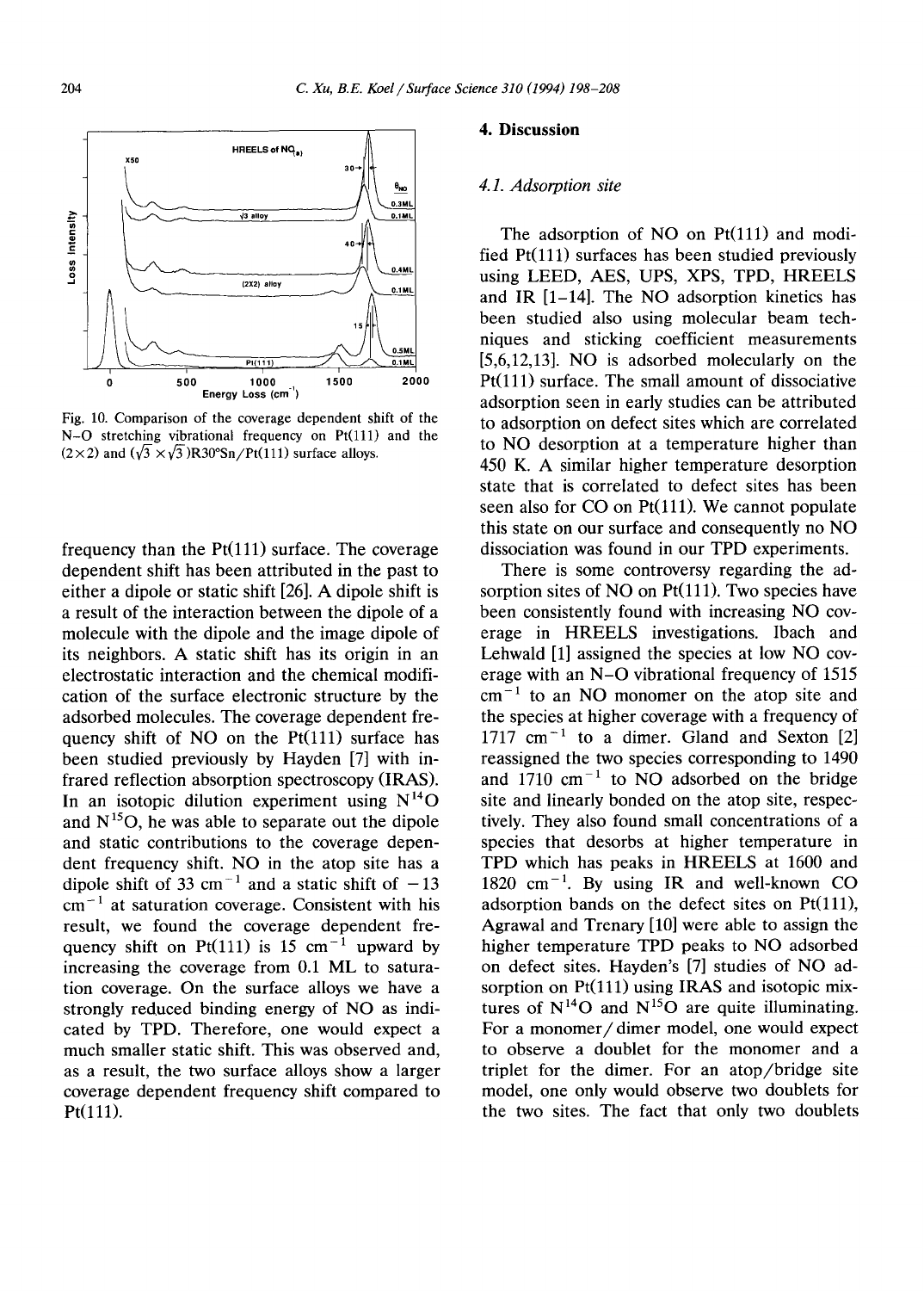

Fig. 10. Comparison of the coverage dependent shift of the  $N-O$  stretching vibrational frequency on  $Pt(111)$  and the  $(2 \times 2)$  and  $(\sqrt{3} \times \sqrt{3})R30^{\circ}Sn/Pt(111)$  surface alloys.

frequency than the  $Pt(111)$  surface. The coverage dependent shift has been attributed in the past to either a dipole or static shift [26]. A dipole shift is a result of the interaction between the dipole of a molecule with the dipole and the image dipole of its neighbors. A static shift has its origin in an electrostatic interaction and the chemical modification of the surface electronic structure by the adsorbed molecules. The coverage dependent frequency shift of NO on the  $Pt(111)$  surface has been studied previously by Hayden [7] with infrared reflection absorption spectroscopy (IRAS). In an isotopic dilution experiment using  $N^{14}O$ and  $N^{15}O$ , he was able to separate out the dipole and static contributions to the coverage dependent frequency shift. NO in the atop site has a dipole shift of 33 cm<sup>-1</sup> and a static shift of  $-13$  $cm^{-1}$  at saturation coverage. Consistent with his result, we found the coverage dependent frequency shift on Pt(111) is 15 cm<sup> $-1$ </sup> upward by increasing the coverage from 0.1 ML to saturation coverage. On the surface alloys we have a strongly reduced binding energy of NO as indicated by TPD. Therefore, one would expect a much smaller static shift. This was observed and, as a result, the two surface alloys show a larger coverage dependent frequency shift compared to Pt(111).

#### **4. Discussion**

#### *4.1. Adsorption site*

The adsorption of NO on  $Pt(111)$  and modified  $Pt(111)$  surfaces has been studied previously using LEED, AES, UPS, XPS, TPD, HREELS and IR [1-14]. The NO adsorption kinetics has been studied also using molecular beam techniques and sticking coefficient measurements [5,6,12,13]. NO is adsorbed molecularly on the  $Pt(111)$  surface. The small amount of dissociative adsorption seen in early studies can be attributed to adsorption on defect sites which are correlated to NO desorption at a temperature higher than 450 K. A similar higher temperature desorption state that is correlated to defect sites has been seen also for  $CO$  on  $Pt(111)$ . We cannot populate this state on our surface and consequently no NO dissociation was found in our TPD experiments.

There is some controversy regarding the adsorption sites of NO on  $Pt(111)$ . Two species have been consistently found with increasing NO coverage in HREELS investigations. Ibach and Lehwald [1] assigned the species at low NO coverage with an N-O vibrational frequency of 1515  $cm<sup>-1</sup>$  to an NO monomer on the atop site and the species at higher coverage with a frequency of  $1717 \text{ cm}^{-1}$  to a dimer. Gland and Sexton [2] reassigned the two species corresponding to 1490 and 1710  $cm^{-1}$  to NO adsorbed on the bridge site and linearly bonded on the atop site, respectively. They also found small concentrations of a species that desorbs at higher temperature in TPD which has peaks in HREELS at 1600 and  $1820 \text{ cm}^{-1}$ . By using IR and well-known CO adsorption bands on the defect sites on  $Pt(111)$ , Agrawal and Trenary [10] were able to assign the higher temperature TPD peaks to NO adsorbed on defect sites. Hayden's [7] studies of NO adsorption on  $Pt(111)$  using IRAS and isotopic mixtures of  $N^{14}O$  and  $N^{15}O$  are quite illuminating. For a monomer/dimer model, one would expect to observe a doublet for the monomer and a triplet for the dimer. For an atop/bridge site model, one only would observe two doublets for the two sites. The fact that only two doublets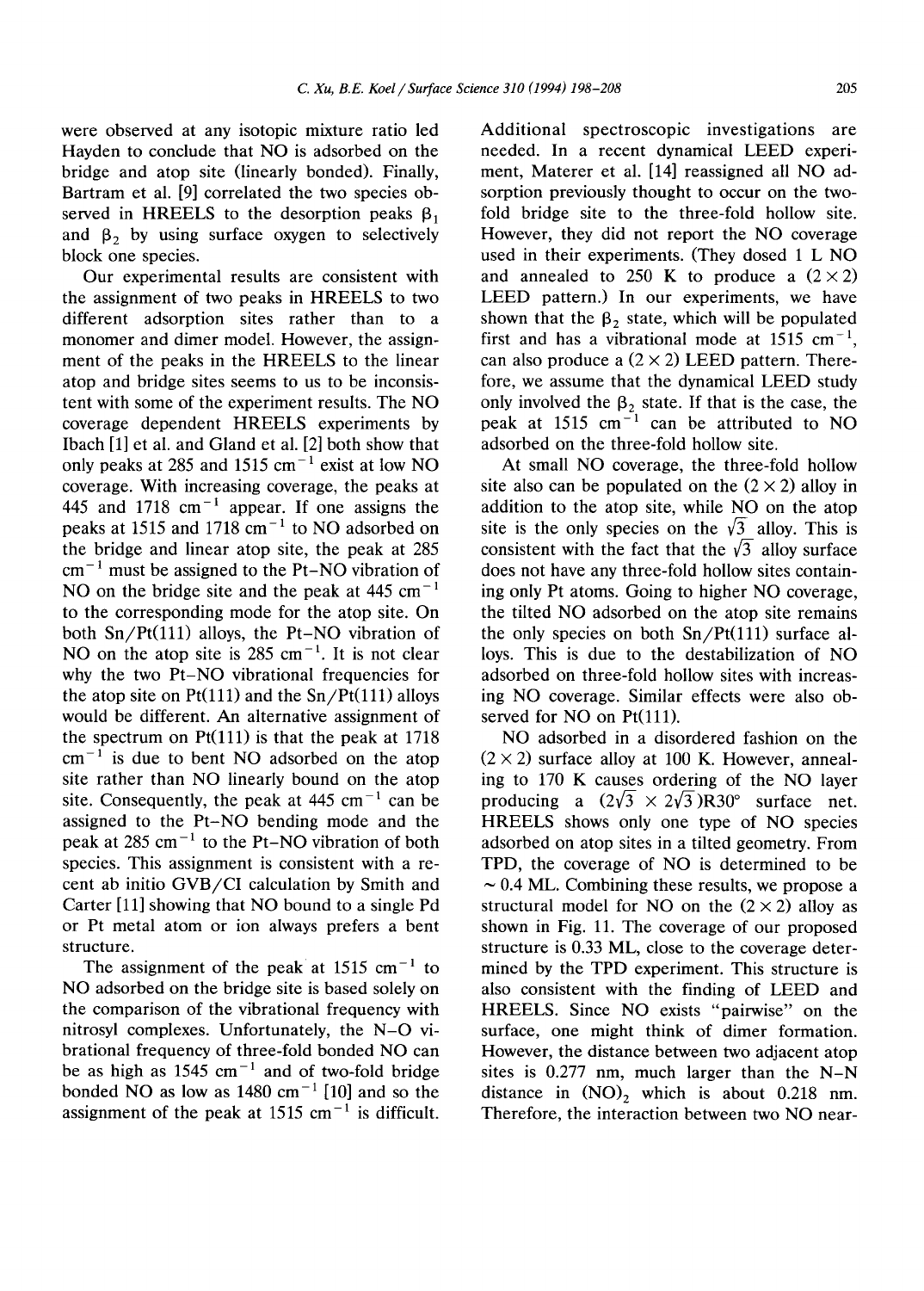were observed at any isotopic mixture ratio led Hayden to conclude that NO is adsorbed on the bridge and atop site (linearly bonded). Finally, Bartram et al. [9] correlated the two species observed in HREELS to the desorption peaks  $\beta_1$ and  $\beta$ <sub>2</sub> by using surface oxygen to selectively block one species.

Our experimental results are consistent with the assignment of two peaks in HREELS to two different adsorption sites rather than to a monomer and dimer model. However, the assignment of the peaks in the HREELS to the linear atop and bridge sites seems to us to be inconsistent with some of the experiment results. The NO coverage dependent HREELS experiments by Ibach [1] et al. and Gland et al. [2] both show that only peaks at 285 and 1515  $cm^{-1}$  exist at low NO coverage. With increasing coverage, the peaks at 445 and 1718  $cm^{-1}$  appear. If one assigns the peaks at 1515 and 1718  $cm^{-1}$  to NO adsorbed on the bridge and linear atop site, the peak at 285  $cm<sup>-1</sup>$  must be assigned to the Pt-NO vibration of NO on the bridge site and the peak at  $445 \text{ cm}^{-1}$ to the corresponding mode for the atop site. On both  $Sn/Pt(111)$  alloys, the Pt-NO vibration of NO on the atop site is  $285 \text{ cm}^{-1}$ . It is not clear why the two Pt-NO vibrational frequencies for the atop site on  $Pt(111)$  and the  $Sn/Pt(111)$  alloys would be different. An alternative assignment of the spectrum on  $Pt(111)$  is that the peak at 1718  $cm^{-1}$  is due to bent NO adsorbed on the atop site rather than NO linearly bound on the atop site. Consequently, the peak at  $445 \text{ cm}^{-1}$  can be assigned to the Pt-NO bending mode and the peak at  $285 \text{ cm}^{-1}$  to the Pt-NO vibration of both species. This assignment is consistent with a recent ab initio GVB/CI calculation by Smith and Carter [11] showing that NO bound to a single Pd or Pt metal atom or ion always prefers a bent structure.

The assignment of the peak at  $1515 \text{ cm}^{-1}$  to NO adsorbed on the bridge site is based solely on the comparison of the vibrational frequency with nitrosyl complexes. Unfortunately, the N-O vibrational frequency of three-fold bonded NO can be as high as  $1545 \text{ cm}^{-1}$  and of two-fold bridge bonded NO as low as  $1480 \text{ cm}^{-1}$  [10] and so the assignment of the peak at 1515 cm<sup> $-1$ </sup> is difficult.

Additional spectroscopic investigations are needed. In a recent dynamical LEED experiment, Materer et al. [14] reassigned all NO adsorption previously thought to occur on the twofold bridge site to the three-fold hollow site. However, they did not report the NO coverage used in their experiments. (They dosed 1 L NO and annealed to 250 K to produce a  $(2 \times 2)$ LEED pattern.) In our experiments, we have shown that the  $\beta_2$  state, which will be populated first and has a vibrational mode at 1515 cm<sup>-1</sup>. can also produce a  $(2 \times 2)$  LEED pattern. Therefore, we assume that the dynamical LEED study only involved the  $\beta_2$  state. If that is the case, the peak at  $1515 \text{ cm}^{-1}$  can be attributed to NO adsorbed on the three-fold hollow site.

At small NO coverage, the three-fold hollow site also can be populated on the  $(2 \times 2)$  alloy in addition to the atop site, while NO on the atop site is the only species on the  $\sqrt{3}$  alloy. This is consistent with the fact that the  $\sqrt{3}$  alloy surface does not have any three-fold hollow sites containing only Pt atoms. Going to higher NO coverage, the tilted NO adsorbed on the atop site remains the only species on both Sn/Pt(111) surface alloys. This is due to the destabilization of NO adsorbed on three-fold hollow sites with increasing NO coverage. Similar effects were also observed for NO on Pt(111).

NO adsorbed in a disordered fashion on the  $(2 \times 2)$  surface alloy at 100 K. However, annealing to 170 K causes ordering of the NO layer producing a  $(2\sqrt{3} \times 2\sqrt{3})R30^{\circ}$  surface net. HREELS shows only one type of NO species adsorbed on atop sites in a tilted geometry. From TPD, the coverage of NO is determined to be  $\sim$  0.4 ML. Combining these results, we propose a structural model for NO on the  $(2 \times 2)$  alloy as shown in Fig. 11. The coverage of our proposed structure is 0.33 ML, close to the coverage determined by the TPD experiment. This structure is also consistent with the finding of LEED and HREELS. Since NO exists "pairwise" on the surface, one might think of dimer formation. However, the distance between two adjacent atop sites is  $0.277$  nm, much larger than the N-N distance in  $(NO)_2$  which is about 0.218 nm. Therefore, the interaction between two NO near-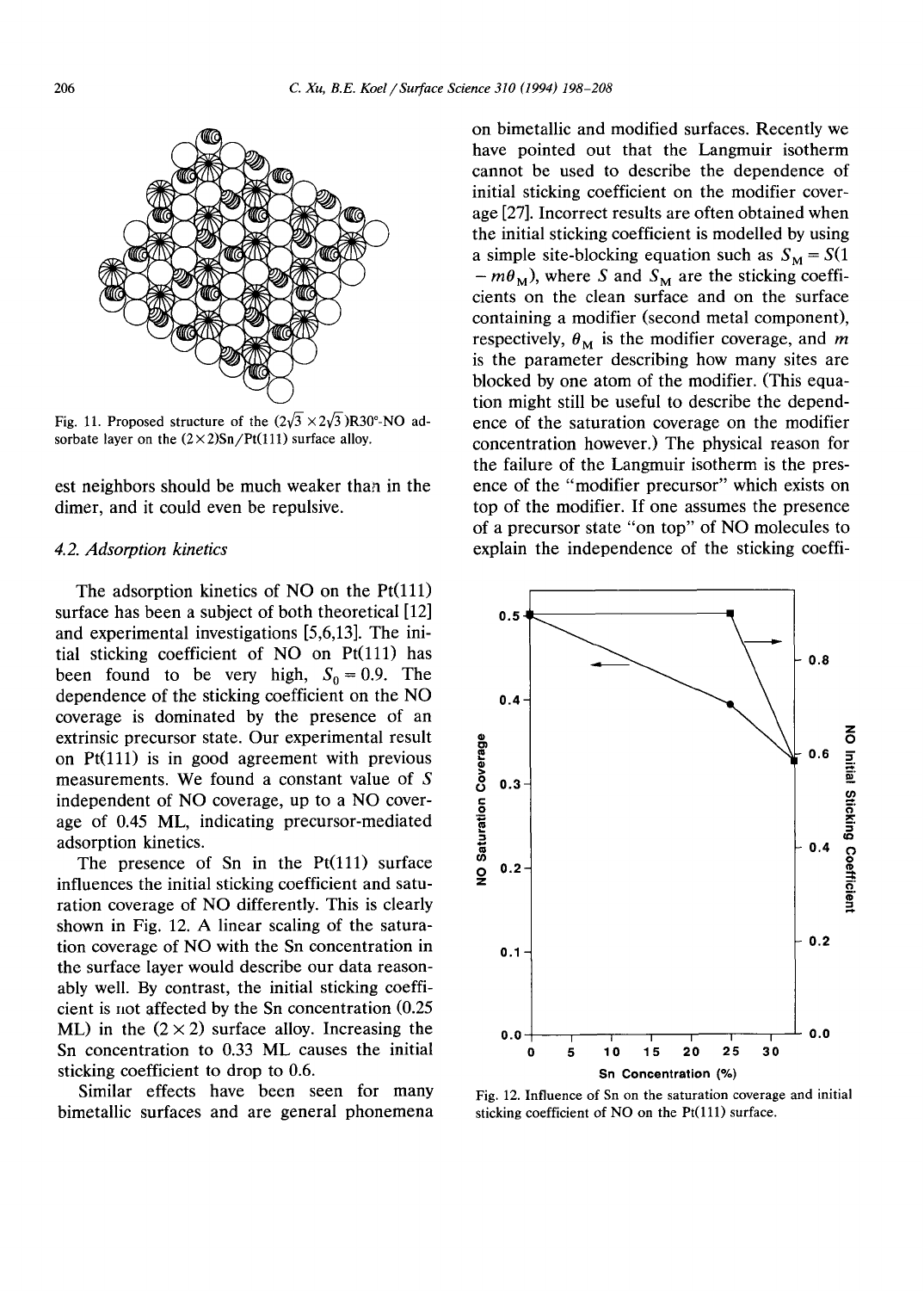

Fig. 11. Proposed structure of the  $(2\sqrt{3} \times 2\sqrt{3})R30^{\circ}NO$  adsorbate layer on the  $(2 \times 2)$ Sn/Pt(111) surface alloy.

est neighbors should be much weaker than in the dimer, and it could even be repulsive.

#### *4.2. Adsorption kinetics*

The adsorption kinetics of NO on the Pt(111) surface has been a subject of both theoretical [12] and experimental investigations [5,6,13]. The initial sticking coefficient of NO on Pt(111) has been found to be very high,  $S_0 = 0.9$ . The dependence of the sticking coefficient on the NO coverage is dominated by the presence of an extrinsic precursor state. Our experimental result on  $Pt(111)$  is in good agreement with previous measurements. We found a constant value of S independent of NO coverage, up to a NO coverage of 0.45 ML, indicating precursor-mediated adsorption kinetics.

The presence of Sn in the  $Pt(111)$  surface influences the initial sticking coefficient and saturation coverage of NO differently. This is clearly shown in Fig. 12. A linear scaling of the saturation coverage of NO with the Sn concentration in the surface layer would describe our data reasonably well. By contrast, the initial sticking coefficient is not affected by the Sn concentration (0.25 ML) in the  $(2 \times 2)$  surface alloy. Increasing the Sn concentration to 0.33 ML causes the initial sticking coefficient to drop to 0.6.

Similar effects have been seen for many bimetallic surfaces and are general phonemena on bimetallic and modified surfaces. Recently we have pointed out that the Langmuir isotherm cannot be used to describe the dependence of initial sticking coefficient on the modifier coverage [27]. Incorrect results are often obtained when the initial sticking coefficient is modelled by using a simple site-blocking equation such as  $S_M = S(1)$  $-m\theta_M$ ), where S and S<sub>M</sub> are the sticking coefficients on the clean surface and on the surface containing a modifier (second metal component), respectively,  $\theta_M$  is the modifier coverage, and m is the parameter describing how many sites are blocked by one atom of the modifier. (This equation might still be useful to describe the dependence of the saturation coverage on the modifier concentration however.) The physical reason for the failure of the Langmuir isotherm is the presence of the "modifier precursor" which exists on top of the modifier. If one assumes the presence of a precursor state "on top" of NO molecules to explain the independence of the sticking coeffi-



Fig. 12. Influence of Sn on the saturation coverage and initial sticking coefficient of NO on the Pt(111) surface.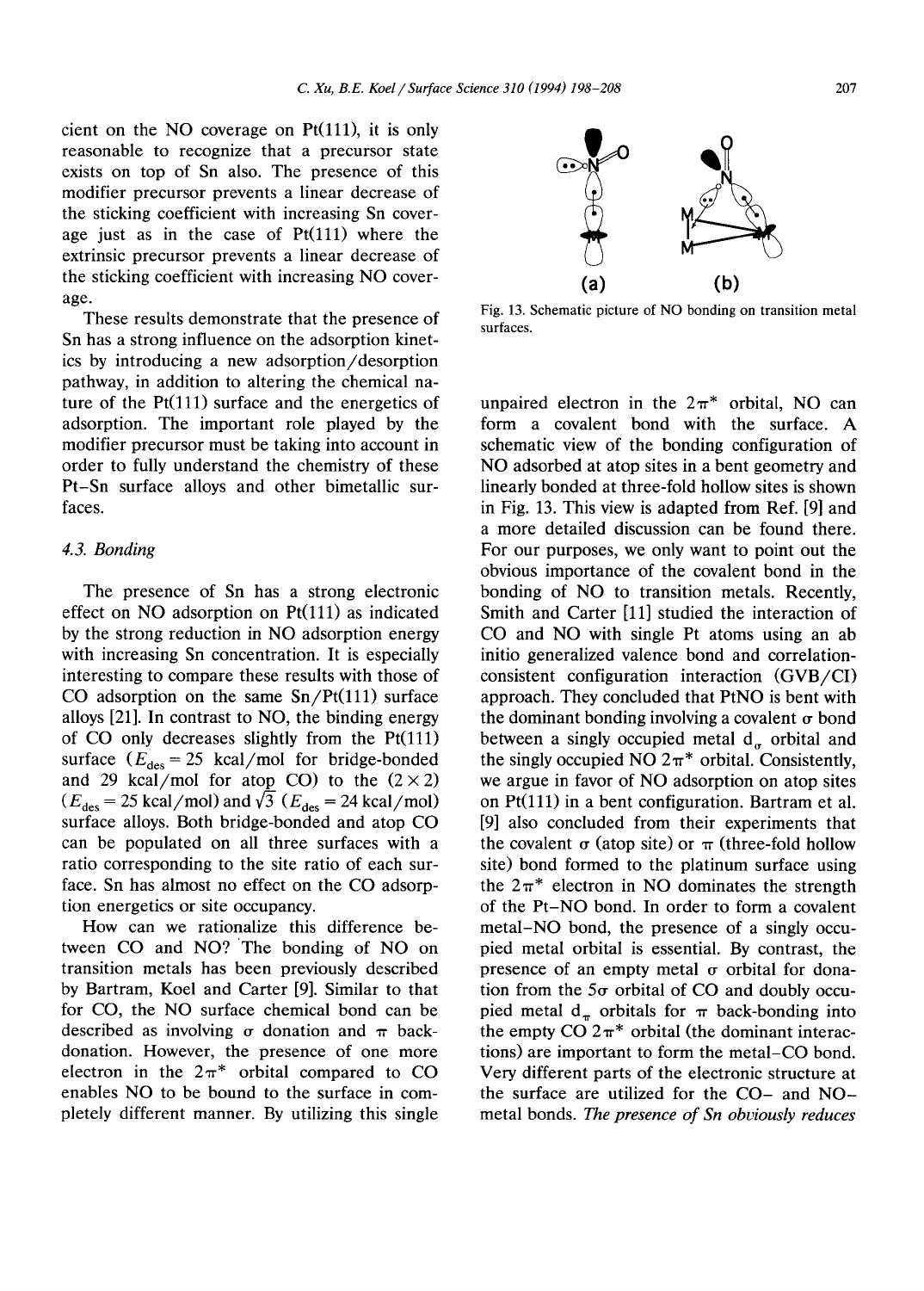cient on the NO coverage on  $Pt(111)$ , it is only reasonable to recognize that a precursor state exists on top of Sn also. The presence of this modifier precursor prevents a linear decrease of the sticking coefficient with increasing Sn coverage just as in the case of  $Pt(111)$  where the extrinsic precursor prevents a linear decrease of the sticking coefficient with increasing NO coverage.

These results demonstrate that the presence of Sn has a strong influence on the adsorption kinetics by introducing a new adsorption/desorption pathway, in addition to altering the chemical nature of the  $Pt(111)$  surface and the energetics of adsorption. The important role played by the modifier precursor must be taking into account in order to fully understand the chemistry of these Pt-Sn surface alloys and other bimetallic surfaces.

#### *4.3. Bonding*

The presence of Sn has a strong electronic effect on NO adsorption on Pt(111) as indicated by the strong reduction in NO adsorption energy with increasing Sn concentration. It is especially interesting to compare these results with those of CO adsorption on the same  $Sn/Pt(111)$  surface alloys [21]. In contrast to NO, the binding energy of  $CO$  only decreases slightly from the  $Pt(111)$ surface  $(E_{\text{des}} = 25 \text{ kcal/mol}$  for bridge-bonded and 29 kcal/mol for atop CO) to the  $(2 \times 2)$  $(E_{des} = 25 \text{ kcal/mol})$  and  $\sqrt{3}$  ( $E_{des} = 24 \text{ kcal/mol}$ ) surface alloys. Both bridge-bonded and atop CO can be populated on all three surfaces with a ratio corresponding to the site ratio of each surface. Sn has almost no effect on the CO adsorption energetics or site occupancy.

How can we rationalize this difference between CO and NO? 'The bonding of NO on transition metals has been previously described by Bartram, Koel and Carter [9]. Similar to that for CO, the NO surface chemical bond can be described as involving  $\sigma$  donation and  $\pi$  backdonation. However, the presence of one more electron in the  $2\pi^*$  orbital compared to CO enables NO to be bound to the surface in completely different manner. By utilizing this single



Fig. 13. Schematic picture of NO bonding on transition metal surfaces.

unpaired electron in the  $2\pi^*$  orbital, NO can form a covalent bond with the surface. A schematic view of the bonding configuration of NO adsorbed at atop sites in a bent geometry and linearly bonded at three-fold hollow sites is shown in Fig. 13. This view is adapted from Ref. [9] and a more detailed discussion can be found there. For our purposes, we only want to point out the obvious importance of the covalent bond in the bonding of NO to transition metals. Recently, Smith and Carter [11] studied the interaction of CO and NO with single Pt atoms using an ab initio generalized valence bond and correlationconsistent configuration interaction (GVB/CI) approach. They concluded that PtNO is bent with the dominant bonding involving a covalent  $\sigma$  bond between a singly occupied metal  $d_a$  orbital and the singly occupied NO  $2\pi^*$  orbital. Consistently, we argue in favor of NO adsorption on atop sites on Pt(lll) in a bent configuration. Bartram et al. [9] also concluded from their experiments that the covalent  $\sigma$  (atop site) or  $\pi$  (three-fold hollow site) bond formed to the platinum surface using the  $2\pi^*$  electron in NO dominates the strength of the Pt-NO bond. In order to form a covalent metal-NO bond, the presence of a singly occupied metal orbital is essential. By contrast, the presence of an empty metal  $\sigma$  orbital for donation from the  $5\sigma$  orbital of CO and doubly occupied metal d<sub> $\pi$ </sub> orbitals for  $\pi$  back-bonding into the empty CO  $2\pi^*$  orbital (the dominant interactions) are important to form the metal-CO bond. Very different parts of the electronic structure at the surface are utilized for the CO- and NOmetal bonds. *The presence of Sn obviously reduces*